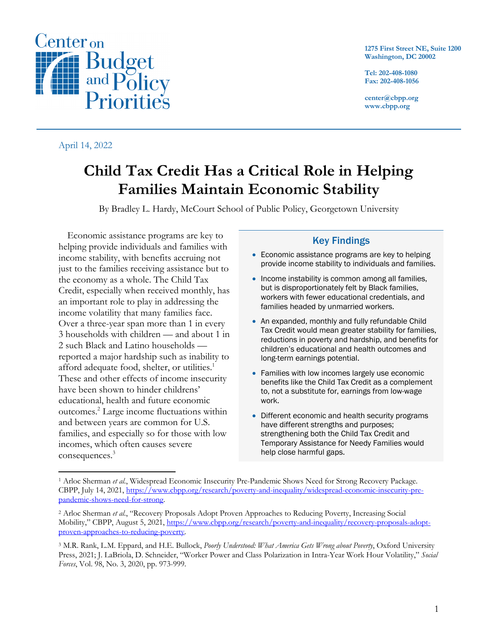

April 14, 2022

**1275 First Street NE, Suite 1200 Washington, DC 20002**

**Tel: 202-408-1080 Fax: 202-408-1056**

**center@cbpp.org www.cbpp.org**

# **Child Tax Credit Has a Critical Role in Helping Families Maintain Economic Stability**

By Bradley L. Hardy, McCourt School of Public Policy, Georgetown University

Economic assistance programs are key to helping provide individuals and families with income stability, with benefits accruing not just to the families receiving assistance but to the economy as a whole. The Child Tax Credit, especially when received monthly, has an important role to play in addressing the income volatility that many families face. Over a three-year span more than 1 in every 3 households with children — and about 1 in 2 such Black and Latino households reported a major hardship such as inability to afford adequate food, shelter, or utilities.<sup>1</sup> These and other effects of income insecurity have been shown to hinder childrens' educational, health and future economic outcomes. <sup>2</sup> Large income fluctuations within and between years are common for U.S. families, and especially so for those with low incomes, which often causes severe consequences. 3

## Key Findings

- Economic assistance programs are key to helping provide income stability to individuals and families.
- Income instability is common among all families, but is disproportionately felt by Black families, workers with fewer educational credentials, and families headed by unmarried workers.
- An expanded, monthly and fully refundable Child Tax Credit would mean greater stability for families, reductions in poverty and hardship, and benefits for children's educational and health outcomes and long-term earnings potential.
- Families with low incomes largely use economic benefits like the Child Tax Credit as a complement to, not a substitute for, earnings from low-wage work.
- Different economic and health security programs have different strengths and purposes; strengthening both the Child Tax Credit and Temporary Assistance for Needy Families would help close harmful gaps.

<sup>1</sup> Arloc Sherman *et al.*, Widespread Economic Insecurity Pre-Pandemic Shows Need for Strong Recovery Package. CBPP, July 14, 2021, https://www.cbpp.org/research/poverty-and-inequality/widespread-economic-insecurity-prepandemic-shows-need-for-strong.

<sup>2</sup> Arloc Sherman *et al.*, "Recovery Proposals Adopt Proven Approaches to Reducing Poverty, Increasing Social Mobility," CBPP, August 5, 2021, https://www.cbpp.org/research/poverty-and-inequality/recovery-proposals-adoptproven-approaches-to-reducing-poverty.

<sup>3</sup> M.R. Rank, L.M. Eppard, and H.E. Bullock, *Poorly Understood: What America Gets Wrong about Poverty*, Oxford University Press, 2021; J. LaBriola, D. Schneider, "Worker Power and Class Polarization in Intra-Year Work Hour Volatility," *Social Forces*, Vol. 98, No. 3, 2020, pp. 973-999.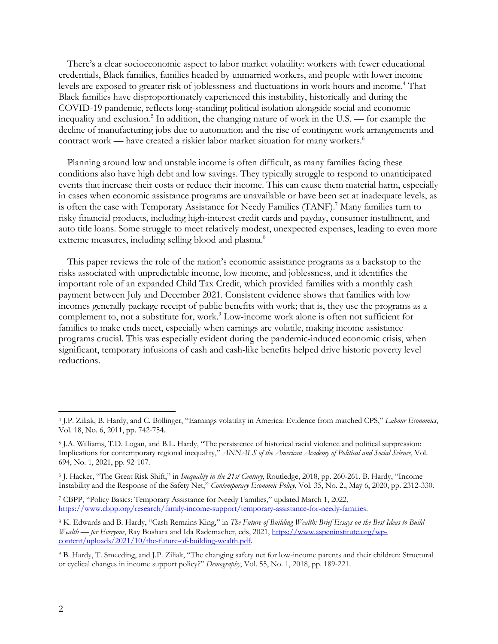There's a clear socioeconomic aspect to labor market volatility: workers with fewer educational credentials, Black families, families headed by unmarried workers, and people with lower income levels are exposed to greater risk of joblessness and fluctuations in work hours and income.<sup>4</sup> That Black families have disproportionately experienced this instability, historically and during the COVID-19 pandemic, reflects long-standing political isolation alongside social and economic inequality and exclusion. <sup>5</sup> In addition, the changing nature of work in the U.S. — for example the decline of manufacturing jobs due to automation and the rise of contingent work arrangements and contract work — have created a riskier labor market situation for many workers.<sup>6</sup>

Planning around low and unstable income is often difficult, as many families facing these conditions also have high debt and low savings. They typically struggle to respond to unanticipated events that increase their costs or reduce their income. This can cause them material harm, especially in cases when economic assistance programs are unavailable or have been set at inadequate levels, as is often the case with Temporary Assistance for Needy Families (TANF). <sup>7</sup> Many families turn to risky financial products, including high-interest credit cards and payday, consumer installment, and auto title loans. Some struggle to meet relatively modest, unexpected expenses, leading to even more extreme measures, including selling blood and plasma.<sup>8</sup>

This paper reviews the role of the nation's economic assistance programs as a backstop to the risks associated with unpredictable income, low income, and joblessness, and it identifies the important role of an expanded Child Tax Credit, which provided families with a monthly cash payment between July and December 2021. Consistent evidence shows that families with low incomes generally package receipt of public benefits with work; that is, they use the programs as a complement to, not a substitute for, work.<sup>9</sup> Low-income work alone is often not sufficient for families to make ends meet, especially when earnings are volatile, making income assistance programs crucial. This was especially evident during the pandemic-induced economic crisis, when significant, temporary infusions of cash and cash-like benefits helped drive historic poverty level reductions.

<sup>4</sup> J.P. Ziliak, B. Hardy, and C. Bollinger, "Earnings volatility in America: Evidence from matched CPS," *Labour Economics*, Vol. 18, No. 6, 2011, pp. 742-754.

<sup>5</sup> J.A. Williams, T.D. Logan, and B.L. Hardy, "The persistence of historical racial violence and political suppression: Implications for contemporary regional inequality," *ANNALS of the American Academy of Political and Social Science*, Vol. 694, No. 1, 2021, pp. 92-107.

<sup>6</sup> J. Hacker, "The Great Risk Shift," in *Inequality in the 21st Century*, Routledge, 2018, pp. 260-261. B. Hardy, "Income Instability and the Response of the Safety Net," *Contemporary Economic Policy*, Vol. 35, No. 2., May 6, 2020, pp. 2312-330.

<sup>7</sup> CBPP, "Policy Basics: Temporary Assistance for Needy Families," updated March 1, 2022, https://www.cbpp.org/research/family-income-support/temporary-assistance-for-needy-families.

<sup>8</sup> K. Edwards and B. Hardy, "Cash Remains King," in *The Future of Building Wealth: Brief Essays on the Best Ideas to Build Wealth — for Everyone*, Ray Boshara and Ida Rademacher, eds, 2021, https://www.aspeninstitute.org/wpcontent/uploads/2021/10/the-future-of-building-wealth.pdf.

<sup>9</sup> B. Hardy, T. Smeeding, and J.P. Ziliak, "The changing safety net for low-income parents and their children: Structural or cyclical changes in income support policy?" *Demography*, Vol. 55, No. 1, 2018, pp. 189-221.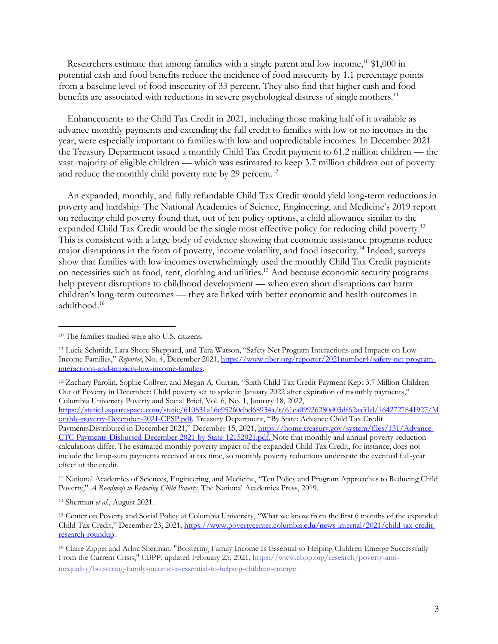Researchers estimate that among families with a single parent and low income,<sup>10</sup> \$1,000 in potential cash and food benefits reduce the incidence of food insecurity by 1.1 percentage points from a baseline level of food insecurity of 33 percent. They also find that higher cash and food benefits are associated with reductions in severe psychological distress of single mothers.<sup>11</sup>

Enhancements to the Child Tax Credit in 2021, including those making half of it available as advance monthly payments and extending the full credit to families with low or no incomes in the year, were especially important to families with low and unpredictable incomes. In December 2021 the Treasury Department issued a monthly Child Tax Credit payment to 61.2 million children — the vast majority of eligible children — which was estimated to keep 3.7 million children out of poverty and reduce the monthly child poverty rate by 29 percent.<sup>12</sup>

An expanded, monthly, and fully refundable Child Tax Credit would yield long-term reductions in poverty and hardship. The National Academies of Science, Engineering, and Medicine's 2019 report on reducing child poverty found that, out of ten policy options, a child allowance similar to the expanded Child Tax Credit would be the single most effective policy for reducing child poverty.<sup>13</sup> This is consistent with a large body of evidence showing that economic assistance programs reduce major disruptions in the form of poverty, income volatility, and food insecurity.<sup>14</sup> Indeed, surveys show that families with low incomes overwhelmingly used the monthly Child Tax Credit payments on necessities such as food, rent, clothing and utilities.15 And because economic security programs help prevent disruptions to childhood development — when even short disruptions can harm children's long-term outcomes — they are linked with better economic and health outcomes in adulthood.16

<sup>13</sup> National Academies of Sciences, Engineering, and Medicine, "Ten Policy and Program Approaches to Reducing Child Poverty," *A Roadmap to Reducing Child Poverty,* The National Academies Press, 2019.

<sup>14</sup> Sherman *et al.*, August 2021.

3

<sup>10</sup> The families studied were also U.S. citizens.

<sup>11</sup> Lucie Schmidt, Lara Shore-Sheppard, and Tara Watson, "Safety Net Program Interactions and Impacts on Low-Income Families," *Reporter*, No. 4, December 2021, https://www.nber.org/reporter/2021number4/safety-net-programinteractions-and-impacts-low-income-families.

<sup>12</sup> Zachary Parolin, Sophie Collyer, and Megan A. Curran, "Sixth Child Tax Credit Payment Kept 3.7 Million Children Out of Poverty in December: Child poverty set to spike in January 2022 after expiration of monthly payments," Columbia University Poverty and Social Brief, Vol. 6, No. 1, January 18, 2022,

https://static1.squarespace.com/static/610831a16c95260dbd68934a/t/61ea09926280d03df62aa31d/1642727841927/M onthly-poverty-December-2021-CPSP.pdf. Treasury Department, "By State: Advance Child Tax Credit PaymentsDistributed in December 2021," December 15, 2021, https://home.treasury.gov/system/files/131/Advance-CTC-Payments-Disbursed-December-2021-by-State-12152021.pdf. Note that monthly and annual poverty-reduction calculations differ. The estimated monthly poverty impact of the expanded Child Tax Credit, for instance, does not include the lump-sum payments received at tax time, so monthly poverty reductions understate the eventual full-year effect of the credit.

<sup>15</sup> Center on Poverty and Social Policy at Columbia University, "What we know from the first 6 months of the expanded Child Tax Credit," December 23, 2021, https://www.povertycenter.columbia.edu/news-internal/2021/child-tax-creditresearch-roundup.

<sup>16</sup> Claire Zippel and Arloc Sherman, "Bolstering Family Income Is Essential to Helping Children Emerge Successfully From the Current Crisis," CBPP, updated February 25, 2021, https://www.cbpp.org/research/poverty-andinequality/bolstering-family-income-is-essential-to-helping-children-emerge.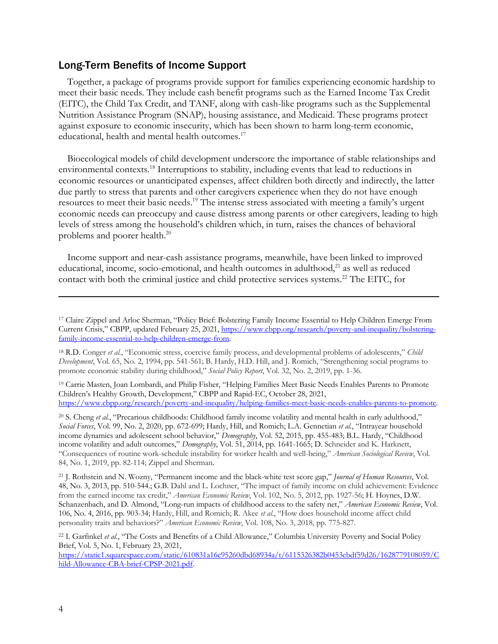#### Long-Term Benefits of Income Support

Together, a package of programs provide support for families experiencing economic hardship to meet their basic needs. They include cash benefit programs such as the Earned Income Tax Credit (EITC), the Child Tax Credit, and TANF, along with cash-like programs such as the Supplemental Nutrition Assistance Program (SNAP), housing assistance, and Medicaid. These programs protect against exposure to economic insecurity, which has been shown to harm long-term economic, educational, health and mental health outcomes.<sup>17</sup>

Bioecological models of child development underscore the importance of stable relationships and environmental contexts.18 Interruptions to stability, including events that lead to reductions in economic resources or unanticipated expenses, affect children both directly and indirectly, the latter due partly to stress that parents and other caregivers experience when they do not have enough resources to meet their basic needs.<sup>19</sup> The intense stress associated with meeting a family's urgent economic needs can preoccupy and cause distress among parents or other caregivers, leading to high levels of stress among the household's children which, in turn, raises the chances of behavioral problems and poorer health. 20

Income support and near-cash assistance programs, meanwhile, have been linked to improved educational, income, socio-emotional, and health outcomes in adulthood,<sup>21</sup> as well as reduced contact with both the criminal justice and child protective services systems.<sup>22</sup> The EITC, for

<sup>19</sup> Carrie Masten, Joan Lombardi, and Philip Fisher, "Helping Families Meet Basic Needs Enables Parents to Promote Children's Healthy Growth, Development," CBPP and Rapid-EC, October 28, 2021, https://www.cbpp.org/research/poverty-and-inequality/helping-families-meet-basic-needs-enables-parents-to-promote.

<sup>20</sup> S. Cheng *et al.*, "Precarious childhoods: Childhood family income volatility and mental health in early adulthood," *Social Forces*, Vol. 99, No. 2, 2020, pp. 672-699; Hardy, Hill, and Romich; L.A. Gennetian *et al.*, "Intrayear household income dynamics and adolescent school behavior," *Demography*, Vol. 52, 2015, pp. 455-483; B.L. Hardy, "Childhood income volatility and adult outcomes," *Demography*, Vol. 51, 2014, pp. 1641-1665; D. Schneider and K. Harknett, "Consequences of routine work-schedule instability for worker health and well-being," *American Sociological Review*, Vol. 84, No. 1, 2019, pp. 82-114; Zippel and Sherman.

<sup>21</sup> J. Rothstein and N. Wozny, "Permanent income and the black-white test score gap," *Journal of Human Resources*, Vol. 48, No. 3, 2013, pp. 510-544.; G.B. Dahl and L. Lochner, "The impact of family income on child achievement: Evidence from the earned income tax credit," *American Economic Review*, Vol. 102, No. 5, 2012, pp. 1927-56; H. Hoynes, D.W. Schanzenbach, and D. Almond, "Long-run impacts of childhood access to the safety net," *American Economic Review*, Vol. 106, No. 4, 2016, pp. 903-34; Hardy, Hill, and Romich; R. Akee *et al.*, "How does household income affect child personality traits and behaviors?" *American Economic Review*, Vol. 108, No. 3, 2018, pp. 775-827.

<sup>22</sup> I. Garfinkel *et al.*, "The Costs and Benefits of a Child Allowance," Columbia University Poverty and Social Policy Brief, Vol. 5, No. 1, February 23, 2021,

https://static1.squarespace.com/static/610831a16c95260dbd68934a/t/6115326382b0453ebdf59d26/1628779108059/C hild-Allowance-CBA-brief-CPSP-2021.pdf.

<sup>17</sup> Claire Zippel and Arloc Sherman, "Policy Brief: Bolstering Family Income Essential to Help Children Emerge From Current Crisis," CBPP, updated February 25, 2021, https://www.cbpp.org/research/poverty-and-inequality/bolsteringfamily-income-essential-to-help-children-emerge-from.

<sup>18</sup> R.D. Conger *et al.*, "Economic stress, coercive family process, and developmental problems of adolescents," *Child Development*, Vol. 65, No. 2, 1994, pp. 541-561; B. Hardy, H.D. Hill, and J. Romich, "Strengthening social programs to promote economic stability during childhood," *Social Policy Report*, Vol. 32, No. 2, 2019, pp. 1-36.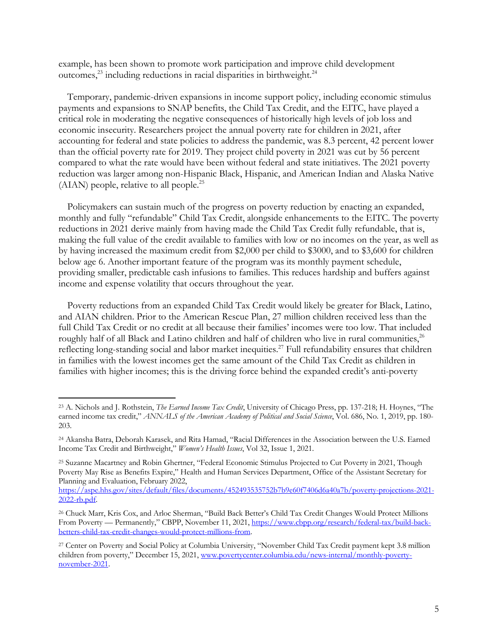example, has been shown to promote work participation and improve child development outcomes, <sup>23</sup> including reductions in racial disparities in birthweight. 24

Temporary, pandemic-driven expansions in income support policy, including economic stimulus payments and expansions to SNAP benefits, the Child Tax Credit, and the EITC, have played a critical role in moderating the negative consequences of historically high levels of job loss and economic insecurity. Researchers project the annual poverty rate for children in 2021, after accounting for federal and state policies to address the pandemic, was 8.3 percent, 42 percent lower than the official poverty rate for 2019. They project child poverty in 2021 was cut by 56 percent compared to what the rate would have been without federal and state initiatives. The 2021 poverty reduction was larger among non-Hispanic Black, Hispanic, and American Indian and Alaska Native (AIAN) people, relative to all people.25

Policymakers can sustain much of the progress on poverty reduction by enacting an expanded, monthly and fully "refundable" Child Tax Credit, alongside enhancements to the EITC. The poverty reductions in 2021 derive mainly from having made the Child Tax Credit fully refundable, that is, making the full value of the credit available to families with low or no incomes on the year, as well as by having increased the maximum credit from \$2,000 per child to \$3000, and to \$3,600 for children below age 6. Another important feature of the program was its monthly payment schedule, providing smaller, predictable cash infusions to families. This reduces hardship and buffers against income and expense volatility that occurs throughout the year.

Poverty reductions from an expanded Child Tax Credit would likely be greater for Black, Latino, and AIAN children. Prior to the American Rescue Plan, 27 million children received less than the full Child Tax Credit or no credit at all because their families' incomes were too low. That included roughly half of all Black and Latino children and half of children who live in rural communities,<sup>26</sup> reflecting long-standing social and labor market inequities.<sup>27</sup> Full refundability ensures that children in families with the lowest incomes get the same amount of the Child Tax Credit as children in families with higher incomes; this is the driving force behind the expanded credit's anti-poverty

<sup>23</sup> A. Nichols and J. Rothstein, *The Earned Income Tax Credit*, University of Chicago Press, pp. 137-218; H. Hoynes, "The earned income tax credit," *ANNALS of the American Academy of Political and Social Science*, Vol. 686, No. 1, 2019, pp. 180- 203.

<sup>24</sup> Akansha Batra, Deborah Karasek, and Rita Hamad, "Racial Differences in the Association between the U.S. Earned Income Tax Credit and Birthweight," *Women's Health Issues*, Vol 32, Issue 1, 2021.

<sup>&</sup>lt;sup>25</sup> Suzanne Macartney and Robin Ghertner, "Federal Economic Stimulus Projected to Cut Poverty in 2021, Though Poverty May Rise as Benefits Expire," Health and Human Services Department, Office of the Assistant Secretary for Planning and Evaluation, February 2022,

https://aspe.hhs.gov/sites/default/files/documents/452493535752b7b9e60f7406d6a40a7b/poverty-projections-2021- 2022-rb.pdf.

<sup>26</sup> Chuck Marr, Kris Cox, and Arloc Sherman, "Build Back Better's Child Tax Credit Changes Would Protect Millions From Poverty — Permanently," CBPP, November 11, 2021, https://www.cbpp.org/research/federal-tax/build-backbetters-child-tax-credit-changes-would-protect-millions-from.

<sup>27</sup> Center on Poverty and Social Policy at Columbia University, "November Child Tax Credit payment kept 3.8 million children from poverty," December 15, 2021, www.povertycenter.columbia.edu/news-internal/monthly-povertynovember-2021.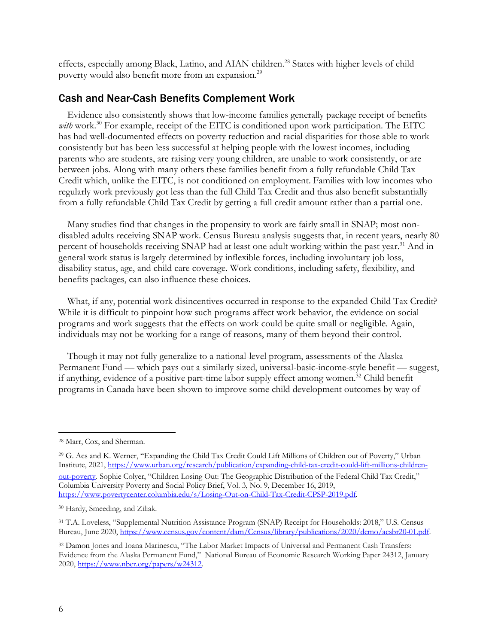effects, especially among Black, Latino, and AIAN children.<sup>28</sup> States with higher levels of child poverty would also benefit more from an expansion.<sup>29</sup>

#### Cash and Near-Cash Benefits Complement Work

Evidence also consistently shows that low-income families generally package receipt of benefits with work.<sup>30</sup> For example, receipt of the EITC is conditioned upon work participation. The EITC has had well-documented effects on poverty reduction and racial disparities for those able to work consistently but has been less successful at helping people with the lowest incomes, including parents who are students, are raising very young children, are unable to work consistently, or are between jobs. Along with many others these families benefit from a fully refundable Child Tax Credit which, unlike the EITC, is not conditioned on employment. Families with low incomes who regularly work previously got less than the full Child Tax Credit and thus also benefit substantially from a fully refundable Child Tax Credit by getting a full credit amount rather than a partial one.

Many studies find that changes in the propensity to work are fairly small in SNAP; most nondisabled adults receiving SNAP work. Census Bureau analysis suggests that, in recent years, nearly 80 percent of households receiving SNAP had at least one adult working within the past year.<sup>31</sup> And in general work status is largely determined by inflexible forces, including involuntary job loss, disability status, age, and child care coverage. Work conditions, including safety, flexibility, and benefits packages, can also influence these choices.

What, if any, potential work disincentives occurred in response to the expanded Child Tax Credit? While it is difficult to pinpoint how such programs affect work behavior, the evidence on social programs and work suggests that the effects on work could be quite small or negligible. Again, individuals may not be working for a range of reasons, many of them beyond their control.

Though it may not fully generalize to a national-level program, assessments of the Alaska Permanent Fund — which pays out a similarly sized, universal-basic-income-style benefit — suggest, if anything, evidence of a positive part-time labor supply effect among women.<sup>32</sup> Child benefit programs in Canada have been shown to improve some child development outcomes by way of

<sup>29</sup> G. Acs and K. Werner, "Expanding the Child Tax Credit Could Lift Millions of Children out of Poverty," Urban Institute, 2021, https://www.urban.org/research/publication/expanding-child-tax-credit-could-lift-millions-childrenout-poverty. Sophie Colyer, "Children Losing Out: The Geographic Distribution of the Federal Child Tax Credit,"

Columbia University Poverty and Social Policy Brief, Vol. 3, No. 9, December 16, 2019, https://www.povertycenter.columbia.edu/s/Losing-Out-on-Child-Tax-Credit-CPSP-2019.pdf.

<sup>28</sup> Marr, Cox, and Sherman.

<sup>30</sup> Hardy, Smeeding, and Ziliak.

<sup>31</sup> T.A. Loveless, "Supplemental Nutrition Assistance Program (SNAP) Receipt for Households: 2018," U.S. Census Bureau, June 2020, https://www.census.gov/content/dam/Census/library/publications/2020/demo/acsbr20-01.pdf.

<sup>&</sup>lt;sup>32</sup> Damon Jones and Ioana Marinescu, "The Labor Market Impacts of Universal and Permanent Cash Transfers: Evidence from the Alaska Permanent Fund," National Bureau of Economic Research Working Paper 24312, January 2020, https://www.nber.org/papers/w24312.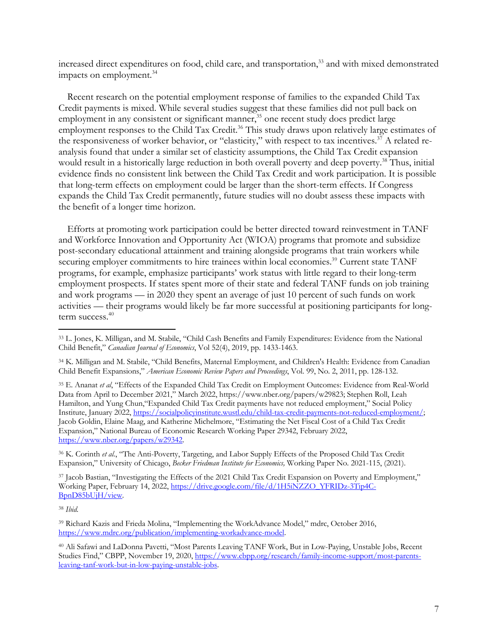increased direct expenditures on food, child care, and transportation,<sup>33</sup> and with mixed demonstrated impacts on employment.<sup>34</sup>

Recent research on the potential employment response of families to the expanded Child Tax Credit payments is mixed. While several studies suggest that these families did not pull back on employment in any consistent or significant manner,<sup>35</sup> one recent study does predict large employment responses to the Child Tax Credit.<sup>36</sup> This study draws upon relatively large estimates of the responsiveness of worker behavior, or "elasticity," with respect to tax incentives.<sup>37</sup> A related reanalysis found that under a similar set of elasticity assumptions, the Child Tax Credit expansion would result in a historically large reduction in both overall poverty and deep poverty.<sup>38</sup> Thus, initial evidence finds no consistent link between the Child Tax Credit and work participation. It is possible that long-term effects on employment could be larger than the short-term effects. If Congress expands the Child Tax Credit permanently, future studies will no doubt assess these impacts with the benefit of a longer time horizon.

Efforts at promoting work participation could be better directed toward reinvestment in TANF and Workforce Innovation and Opportunity Act (WIOA) programs that promote and subsidize post-secondary educational attainment and training alongside programs that train workers while securing employer commitments to hire trainees within local economies.<sup>39</sup> Current state TANF programs, for example, emphasize participants' work status with little regard to their long-term employment prospects. If states spent more of their state and federal TANF funds on job training and work programs — in 2020 they spent an average of just 10 percent of such funds on work activities — their programs would likely be far more successful at positioning participants for longterm success.<sup>40</sup>

<sup>36</sup> K. Corinth *et al.*, "The Anti-Poverty, Targeting, and Labor Supply Effects of the Proposed Child Tax Credit Expansion," University of Chicago, *Becker Friedman Institute for Economics,* Working Paper No. 2021-115, (2021).

<sup>37</sup> Jacob Bastian, "Investigating the Effects of the 2021 Child Tax Credit Expansion on Poverty and Employment," Working Paper, February 14, 2022, https://drive.google.com/file/d/1H5iNZZO\_YFRIDz-3Tip4C-BpnD85bUjH/view.

<sup>38</sup> *Ibid.*

<sup>33</sup> L. Jones, K. Milligan, and M. Stabile, "Child Cash Benefits and Family Expenditures: Evidence from the National Child Benefit," *Canadian Journal of Economics*, Vol 52(4), 2019, pp. 1433-1463.

<sup>34</sup> K. Milligan and M. Stabile, "Child Benefits, Maternal Employment, and Children's Health: Evidence from Canadian Child Benefit Expansions," *American Economic Review Papers and Proceedings*, Vol. 99, No. 2, 2011, pp. 128-132.

<sup>35</sup> E. Ananat *et al*, "Effects of the Expanded Child Tax Credit on Employment Outcomes: Evidence from Real-World Data from April to December 2021," March 2022, https://www.nber.org/papers/w29823; Stephen Roll, Leah Hamilton, and Yung Chun,"Expanded Child Tax Credit payments have not reduced employment," Social Policy Institute, January 2022, https://socialpolicyinstitute.wustl.edu/child-tax-credit-payments-not-reduced-employment/; Jacob Goldin, Elaine Maag, and Katherine Michelmore, "Estimating the Net Fiscal Cost of a Child Tax Credit Expansion," National Bureau of Economic Research Working Paper 29342, February 2022, https://www.nber.org/papers/w29342.

<sup>39</sup> Richard Kazis and Frieda Molina, "Implementing the WorkAdvance Model," mdrc, October 2016, https://www.mdrc.org/publication/implementing-workadvance-model.

<sup>40</sup> Ali Safawi and LaDonna Pavetti, "Most Parents Leaving TANF Work, But in Low-Paying, Unstable Jobs, Recent Studies Find," CBPP, November 19, 2020, https://www.cbpp.org/research/family-income-support/most-parentsleaving-tanf-work-but-in-low-paying-unstable-jobs.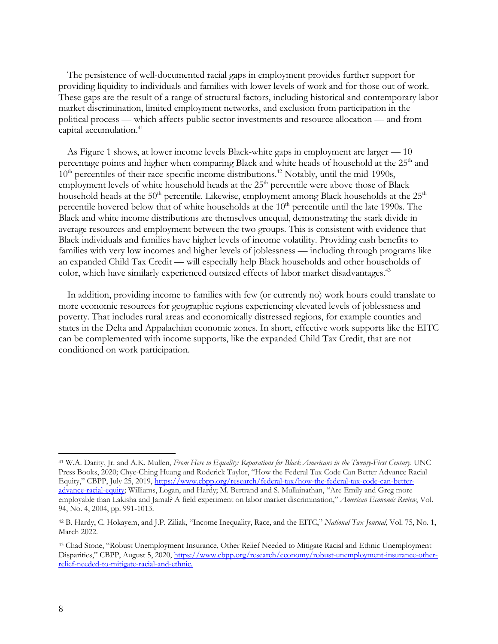The persistence of well-documented racial gaps in employment provides further support for providing liquidity to individuals and families with lower levels of work and for those out of work. These gaps are the result of a range of structural factors, including historical and contemporary labor market discrimination, limited employment networks, and exclusion from participation in the political process — which affects public sector investments and resource allocation — and from capital accumulation.<sup>41</sup>

As Figure 1 shows, at lower income levels Black-white gaps in employment are larger — 10 percentage points and higher when comparing Black and white heads of household at the 25<sup>th</sup> and  $10<sup>th</sup>$  percentiles of their race-specific income distributions.<sup>42</sup> Notably, until the mid-1990s, employment levels of white household heads at the 25<sup>th</sup> percentile were above those of Black household heads at the  $50<sup>th</sup>$  percentile. Likewise, employment among Black households at the  $25<sup>th</sup>$ percentile hovered below that of white households at the  $10<sup>th</sup>$  percentile until the late 1990s. The Black and white income distributions are themselves unequal, demonstrating the stark divide in average resources and employment between the two groups. This is consistent with evidence that Black individuals and families have higher levels of income volatility. Providing cash benefits to families with very low incomes and higher levels of joblessness — including through programs like an expanded Child Tax Credit — will especially help Black households and other households of color, which have similarly experienced outsized effects of labor market disadvantages.<sup>43</sup>

In addition, providing income to families with few (or currently no) work hours could translate to more economic resources for geographic regions experiencing elevated levels of joblessness and poverty. That includes rural areas and economically distressed regions, for example counties and states in the Delta and Appalachian economic zones. In short, effective work supports like the EITC can be complemented with income supports, like the expanded Child Tax Credit, that are not conditioned on work participation.

<sup>41</sup> W.A. Darity, Jr. and A.K. Mullen, *From Here to Equality: Reparations for Black Americans in the Twenty-First Century*. UNC Press Books, 2020; Chye-Ching Huang and Roderick Taylor, "How the Federal Tax Code Can Better Advance Racial Equity," CBPP, July 25, 2019, https://www.cbpp.org/research/federal-tax/how-the-federal-tax-code-can-betteradvance-racial-equity; Williams, Logan, and Hardy; M. Bertrand and S. Mullainathan, "Are Emily and Greg more employable than Lakisha and Jamal? A field experiment on labor market discrimination," *American Economic Review*, Vol. 94, No. 4, 2004, pp. 991-1013.

<sup>42</sup> B. Hardy, C. Hokayem, and J.P. Ziliak, "Income Inequality, Race, and the EITC," *National Tax Journal*, Vol. 75, No. 1, March 2022.

<sup>43</sup> Chad Stone, "Robust Unemployment Insurance, Other Relief Needed to Mitigate Racial and Ethnic Unemployment Disparities," CBPP, August 5, 2020, https://www.cbpp.org/research/economy/robust-unemployment-insurance-otherrelief-needed-to-mitigate-racial-and-ethnic.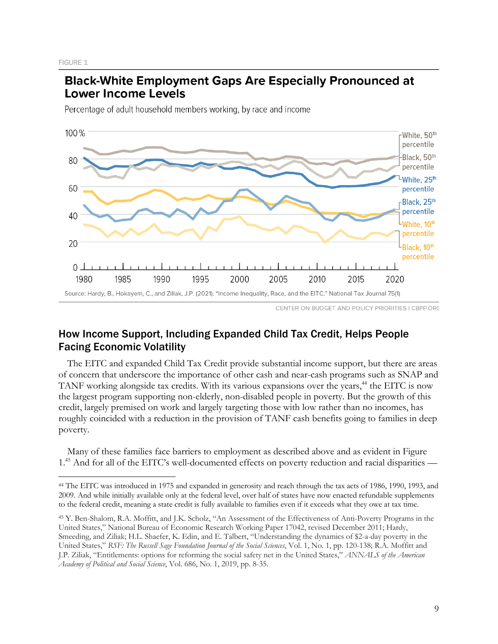FIGURE 1

# **Black-White Employment Gaps Are Especially Pronounced at Lower Income Levels**

Percentage of adult household members working, by race and income



CENTER ON BUDGET AND POLICY PRIORITIES | CBPP.ORG

## How Income Support, Including Expanded Child Tax Credit, Helps People Facing Economic Volatility

The EITC and expanded Child Tax Credit provide substantial income support, but there are areas of concern that underscore the importance of other cash and near-cash programs such as SNAP and TANF working alongside tax credits. With its various expansions over the years,<sup>44</sup> the EITC is now the largest program supporting non-elderly, non-disabled people in poverty. But the growth of this credit, largely premised on work and largely targeting those with low rather than no incomes, has roughly coincided with a reduction in the provision of TANF cash benefits going to families in deep poverty.

Many of these families face barriers to employment as described above and as evident in Figure 1. <sup>45</sup> And for all of the EITC's well-documented effects on poverty reduction and racial disparities —

<sup>44</sup> The EITC was introduced in 1975 and expanded in generosity and reach through the tax acts of 1986, 1990, 1993, and 2009. And while initially available only at the federal level, over half of states have now enacted refundable supplements to the federal credit, meaning a state credit is fully available to families even if it exceeds what they owe at tax time.

<sup>45</sup> Y. Ben-Shalom, R.A. Moffitt, and J.K. Scholz, "An Assessment of the Effectiveness of Anti-Poverty Programs in the United States," National Bureau of Economic Research Working Paper 17042, revised December 2011; Hardy, Smeeding, and Ziliak; H.L. Shaefer, K. Edin, and E. Talbert, "Understanding the dynamics of \$2-a-day poverty in the United States," *RSF: The Russell Sage Foundation Journal of the Social Sciences*, Vol. 1, No. 1, pp. 120-138; R.A. Moffitt and J.P. Ziliak, "Entitlements: options for reforming the social safety net in the United States," *ANNALS of the American Academy of Political and Social Science*, Vol. 686, No. 1, 2019, pp. 8-35.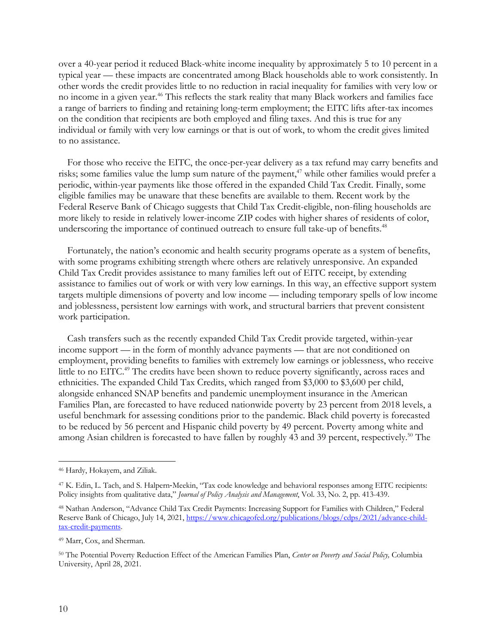over a 40-year period it reduced Black-white income inequality by approximately 5 to 10 percent in a typical year — these impacts are concentrated among Black households able to work consistently. In other words the credit provides little to no reduction in racial inequality for families with very low or no income in a given year. <sup>46</sup> This reflects the stark reality that many Black workers and families face a range of barriers to finding and retaining long-term employment; the EITC lifts after-tax incomes on the condition that recipients are both employed and filing taxes. And this is true for any individual or family with very low earnings or that is out of work, to whom the credit gives limited to no assistance.

For those who receive the EITC, the once-per-year delivery as a tax refund may carry benefits and risks; some families value the lump sum nature of the payment, <sup>47</sup> while other families would prefer a periodic, within-year payments like those offered in the expanded Child Tax Credit. Finally, some eligible families may be unaware that these benefits are available to them. Recent work by the Federal Reserve Bank of Chicago suggests that Child Tax Credit-eligible, non-filing households are more likely to reside in relatively lower-income ZIP codes with higher shares of residents of color, underscoring the importance of continued outreach to ensure full take-up of benefits.<sup>48</sup>

Fortunately, the nation's economic and health security programs operate as a system of benefits, with some programs exhibiting strength where others are relatively unresponsive. An expanded Child Tax Credit provides assistance to many families left out of EITC receipt, by extending assistance to families out of work or with very low earnings. In this way, an effective support system targets multiple dimensions of poverty and low income — including temporary spells of low income and joblessness, persistent low earnings with work, and structural barriers that prevent consistent work participation.

Cash transfers such as the recently expanded Child Tax Credit provide targeted, within-year income support — in the form of monthly advance payments — that are not conditioned on employment, providing benefits to families with extremely low earnings or joblessness, who receive little to no EITC.<sup>49</sup> The credits have been shown to reduce poverty significantly, across races and ethnicities. The expanded Child Tax Credits, which ranged from \$3,000 to \$3,600 per child, alongside enhanced SNAP benefits and pandemic unemployment insurance in the American Families Plan, are forecasted to have reduced nationwide poverty by 23 percent from 2018 levels, a useful benchmark for assessing conditions prior to the pandemic. Black child poverty is forecasted to be reduced by 56 percent and Hispanic child poverty by 49 percent. Poverty among white and among Asian children is forecasted to have fallen by roughly 43 and 39 percent, respectively. <sup>50</sup> The

<sup>46</sup> Hardy, Hokayem, and Ziliak.

<sup>47</sup> K. Edin, L. Tach, and S. Halpern-Meekin, "Tax code knowledge and behavioral responses among EITC recipients: Policy insights from qualitative data," *Journal of Policy Analysis and Management*, Vol. 33, No. 2, pp. 413-439.

<sup>48</sup> Nathan Anderson, "Advance Child Tax Credit Payments: Increasing Support for Families with Children," Federal Reserve Bank of Chicago, July 14, 2021, https://www.chicagofed.org/publications/blogs/cdps/2021/advance-childtax-credit-payments.

<sup>49</sup> Marr, Cox, and Sherman.

<sup>50</sup> The Potential Poverty Reduction Effect of the American Families Plan, *Center on Poverty and Social Policy,* Columbia University, April 28, 2021.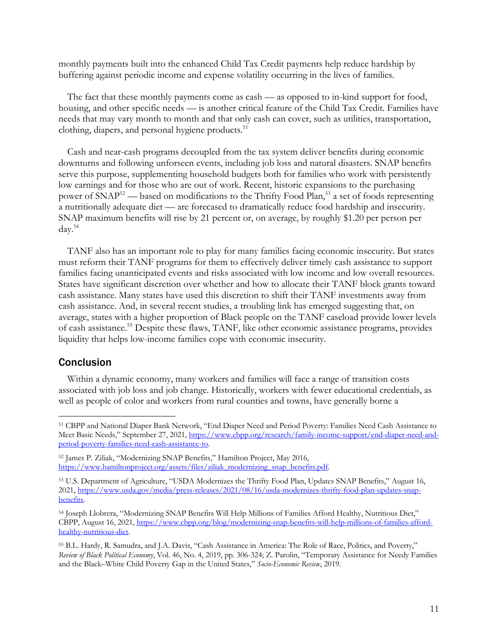monthly payments built into the enhanced Child Tax Credit payments help reduce hardship by buffering against periodic income and expense volatility occurring in the lives of families.

The fact that these monthly payments come as cash — as opposed to in-kind support for food, housing, and other specific needs — is another critical feature of the Child Tax Credit. Families have needs that may vary month to month and that only cash can cover, such as utilities, transportation, clothing, diapers, and personal hygiene products.<sup>51</sup>

Cash and near-cash programs decoupled from the tax system deliver benefits during economic downturns and following unforseen events, including job loss and natural disasters. SNAP benefits serve this purpose, supplementing household budgets both for families who work with persistently low earnings and for those who are out of work. Recent, historic expansions to the purchasing power of SNAP<sup>52</sup> — based on modifications to the Thrifty Food Plan,<sup>53</sup> a set of foods representing a nutritionally adequate diet — are forecased to dramatically reduce food hardship and insecurity. SNAP maximum benefits will rise by 21 percent or, on average, by roughly \$1.20 per person per day.54

TANF also has an important role to play for many families facing economic insecurity. But states must reform their TANF programs for them to effectively deliver timely cash assistance to support families facing unanticipated events and risks associated with low income and low overall resources. States have significant discretion over whether and how to allocate their TANF block grants toward cash assistance. Many states have used this discretion to shift their TANF investments away from cash assistance. And, in several recent studies, a troubling link has emerged suggesting that, on average, states with a higher proportion of Black people on the TANF caseload provide lower levels of cash assistance.<sup>55</sup> Despite these flaws, TANF, like other economic assistance programs, provides liquidity that helps low-income families cope with economic insecurity.

#### Conclusion

Within a dynamic economy, many workers and families will face a range of transition costs associated with job loss and job change. Historically, workers with fewer educational credentials, as well as people of color and workers from rural counties and towns, have generally borne a

<sup>51</sup> CBPP and National Diaper Bank Network, "End Diaper Need and Period Poverty: Families Need Cash Assistance to Meet Basic Needs," September 27, 2021, https://www.cbpp.org/research/family-income-support/end-diaper-need-andperiod-poverty-families-need-cash-assistance-to.

<sup>52</sup> James P. Ziliak, "Modernizing SNAP Benefits," Hamilton Project, May 2016, https://www.hamiltonproject.org/assets/files/ziliak\_modernizing\_snap\_benefits.pdf.

<sup>53</sup> U.S. Department of Agriculture, "USDA Modernizes the Thrifty Food Plan, Updates SNAP Benefits," August 16, 2021, https://www.usda.gov/media/press-releases/2021/08/16/usda-modernizes-thrifty-food-plan-updates-snapbenefits.

<sup>54</sup> Joseph Llobrera, "Modernizing SNAP Benefits Will Help Millions of Families Afford Healthy, Nutritious Diet," CBPP, August 16, 2021, https://www.cbpp.org/blog/modernizing-snap-benefits-will-help-millions-of-families-affordhealthy-nutritious-diet.

<sup>55</sup> B.L. Hardy, R. Samudra, and J.A. Davis, "Cash Assistance in America: The Role of Race, Politics, and Poverty," *Review of Black Political Economy*, Vol. 46, No. 4, 2019, pp. 306-324; Z. Parolin, "Temporary Assistance for Needy Families and the Black–White Child Poverty Gap in the United States," *Socio-Economic Review*, 2019.